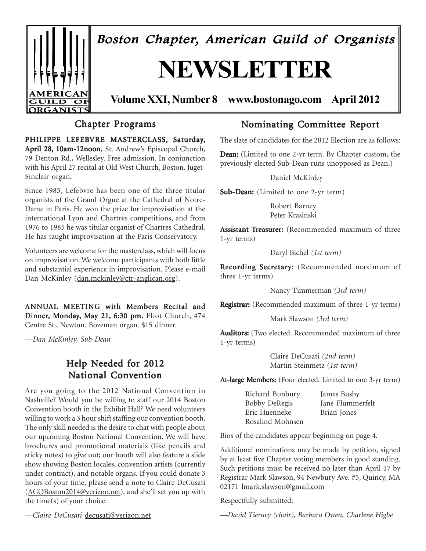

# Chapter Programs

PHILIPPE LEFEBVRE MASTERCLASS, Saturday, April 28, 10am-12noon. St. Andrew's Episcopal Church, 79 Denton Rd., Wellesley. Free admission. In conjunction with his April 27 recital at Old West Church, Boston. Juget-Sinclair organ.

Since 1985, Lefebvre has been one of the three titular organists of the Grand Orgue at the Cathedral of Notre-Dame in Paris. He won the prize for improvisation at the international Lyon and Chartres competitions, and from 1976 to 1985 he was titular organist of Chartres Cathedral. He has taught improvisation at the Paris Conservatory.

Volunteers are welcome for the masterclass, which will focus on improvisation. We welcome participants with both little and substantial experience in improvisation. Please e-mail Dan McKinley (dan.mckinley@ctr-anglican.org).

ANNUAL MEETING with Members Recital and Dinner, Monday, May 21, 6:30 pm. Eliot Church, 474 Centre St., Newton. Bozeman organ. \$15 dinner.

*—Dan McKinley, Sub-Dean*

# Help Needed for 2012 National Convention

Are you going to the 2012 National Convention in Nashville? Would you be willing to staff our 2014 Boston Convention booth in the Exhibit Hall? We need volunteers willing to work a 3 hour shift staffing our convention booth. The only skill needed is the desire to chat with people about our upcoming Boston National Convention. We will have brochures and promotional materials (like pencils and sticky notes) to give out; our booth will also feature a slide show showing Boston locales, convention artists (currently under contract), and notable organs. If you could donate 3 hours of your time, please send a note to Claire DeCusati (AGOBoston2014@verizon.net), and she'll set you up with the time(s) of your choice.

*—Claire DeCusati* decusati@verizon.net

## Nominating Committee Report

The slate of candidates for the 2012 Election are as follows:

Dean: (Limited to one 2-yr term. By Chapter custom, the previously elected Sub-Dean runs unopposed as Dean.)

Daniel McKinley

Sub-Dean: (Limited to one 2-yr term)

Robert Barney Peter Krasinski

Assistant Treasurer: (Recommended maximum of three 1-yr terms)

Daryl Bichel *(1st term)*

Recording Secretary: (Recommended maximum of three 1-yr terms)

Nancy Timmerman *(3rd term)*

Registrar: (Recommended maximum of three 1-yr terms)

Mark Slawson *(3rd term)*

Auditors: (Two elected. Recommended maximum of three 1-yr terms)

> Claire DeCusati *(2nd term)* Martin Steinmetz (*1st term)*

At-large Members: (Four elected. Limited to one 3-yr term)

| Richard Bunbury      | James Busby      |
|----------------------|------------------|
| <b>Bobby DeRegis</b> | Jane Flummerfelt |
| Eric Huenneke        | Brian Jones      |
| Rosalind Mohnsen     |                  |

Bios of the candidates appear beginning on page 4.

Additional nominations may be made by petition, signed by at least five Chapter voting members in good standing. Such petitions must be received no later than April 17 by Registrar Mark Slawson, 94 Newbury Ave. #5, Quincy, MA 02171 lmark.slawson@gmail.com

Respectfully submitted:

*—David Tierney (chair), Barbara Owen, Charlene Higbe*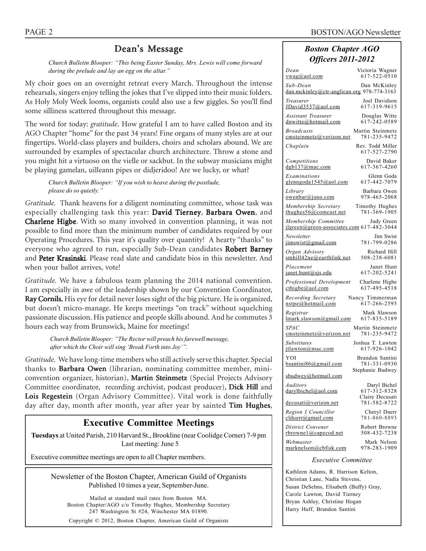## Dean's Message

*Church Bulletin Blooper: "This being Easter Sunday, Mrs. Lewis will come forward during the prelude and lay an egg on the altar."*

My choir goes on an overnight retreat every March. Throughout the intense rehearsals, singers enjoy telling the jokes that I've slipped into their music folders. As Holy Moly Week looms, organists could also use a few giggles. So you'll find some silliness scattered throughout this message.

The word for today: *gratitude*. How grateful I am to have called Boston and its AGO Chapter "home" for the past 34 years! Fine organs of many styles are at our fingertips. World-class players and builders, choirs and scholars abound. We are surrounded by examples of spectacular church architecture. Throw a stone and you might hit a virtuoso on the vielle or sackbut. In the subway musicians might be playing gamelan, uilleann pipes or didjeridoo! Are we lucky, or what?

*Church Bulletin Blooper: "If you wish to heave during the postlude, please do so quietly."*

*Gratitude.* Thank heavens for a diligent nominating committee, whose task was especially challenging task this year: David Tierney, Barbara Owen, and Charlene Higbe. With so many involved in convention planning, it was not possible to find more than the minimum number of candidates required by our Operating Procedures. This year it's quality over quantity! A hearty "thanks" to everyone who agreed to run, especially Sub-Dean candidates Robert Barney and Peter Krasinski. Please read slate and candidate bios in this newsletter. And when your ballot arrives, vote!

*Gratitude.* We have a fabulous team planning the 2014 national convention. I am especially in awe of the leadership shown by our Convention Coordinator, Ray Cornils. His eye for detail never loses sight of the big picture. He is organized, but doesn't micro-manage. He keeps meetings "on track" without squelching passionate discussion. His patience and people skills abound. And he commutes 3 hours each way from Brunswick, Maine for meetings!

> *Church Bulletin Blooper: "The Rector will preach his farewell message, after which the Choir will sing 'Break Forth into Joy'".*

*Gratitude.* We have long-time members who still actively serve this chapter. Special thanks to Barbara Owen (librarian, nominating committee member, miniconvention organizer, historian), Martin Steinmetz (Special Projects Advisory Committee coordinator, recording archivist, podcast producer), Dick Hill and Lois Regestein (Organ Advisory Committee). Vital work is done faithfully day after day, month after month, year after year by sainted Tim Hughes,

# **Executive Committee Meetings**

**Tuesdays** at United Parish, 210 Harvard St., Brookline (near Coolidge Corner) 7-9 pm Last meeting: June 5

Executive committee meetings are open to all Chapter members.

Newsletter of the Boston Chapter, American Guild of Organists Published 10 times a year, September-June.

Mailed at standard mail rates from Boston MA. Boston Chapter/AGO c/o Timothy Hughes, Membership Secretary 247 Washington St #24, Winchester MA 01890. Copyright © 2012, Boston Chapter, American Guild of Organists

### *Boston Chapter AGO Officers 2011-2012*

| Dean                                                                            | Victoria Wagner                                 |  |  |  |  |  |
|---------------------------------------------------------------------------------|-------------------------------------------------|--|--|--|--|--|
| $vwa$ g@aol.com                                                                 | 617-522-0510                                    |  |  |  |  |  |
| Sub-Dean<br>dan.mckinley@ctr-anglican.org 978-774-3163                          | Dan McKinley                                    |  |  |  |  |  |
| Treasurer                                                                       | Joel Davidson                                   |  |  |  |  |  |
| JDavid3537@aol.com                                                              | 617-319-9615                                    |  |  |  |  |  |
| Assistant Treasurer                                                             | Douglas Witte                                   |  |  |  |  |  |
| dnwitte@hotmail.com                                                             | 617-242-0589                                    |  |  |  |  |  |
| <b>Broadcasts</b>                                                               | Martin Steinmetz                                |  |  |  |  |  |
| emsteinmetz@verizon.net                                                         | 781-235-9472                                    |  |  |  |  |  |
| Chaplain                                                                        | Rev. Todd Miller<br>617-527-2790                |  |  |  |  |  |
| Competitions                                                                    | David Baker                                     |  |  |  |  |  |
| dgb137@mac.com                                                                  | 617-367-4260                                    |  |  |  |  |  |
| Examinations                                                                    | Glenn Goda                                      |  |  |  |  |  |
| glenngoda1545@aol.com                                                           | 617-442-7079                                    |  |  |  |  |  |
| Library                                                                         | Barbara Owen                                    |  |  |  |  |  |
| owenbar@juno.com                                                                | 978-465-2068                                    |  |  |  |  |  |
| Membership Secretary                                                            | Timothy Hughes                                  |  |  |  |  |  |
| thughes56@comcast.net                                                           | 781-369-1905                                    |  |  |  |  |  |
| Membership Committee<br>Judy Green<br>jlgreen@green-associates.com 617-482-3044 |                                                 |  |  |  |  |  |
| Newsletter                                                                      | Jim Swist                                       |  |  |  |  |  |
| jimswist@gmail.com                                                              | 781-799-0286                                    |  |  |  |  |  |
| Organ Advisory                                                                  | Richard Hill                                    |  |  |  |  |  |
| smhill42ne@earthlink.net                                                        | 508-238-6081                                    |  |  |  |  |  |
| Placement                                                                       | Janet Hunt                                      |  |  |  |  |  |
| janet.hunt@sjs.edu                                                              | 617-202-5241                                    |  |  |  |  |  |
| Professional Development                                                        | Charlene Higbe                                  |  |  |  |  |  |
| $\text{cthigbe}(a)$ aol.com                                                     | 617-495-4518                                    |  |  |  |  |  |
| Recording Secretary                                                             | Nancy Timmerman                                 |  |  |  |  |  |
| nstpe@hotmail.com                                                               | 617-266-2595                                    |  |  |  |  |  |
| Registrar                                                                       | Mark Slawson                                    |  |  |  |  |  |
| lmark.slawson@gmail.com                                                         | 617-835-5189                                    |  |  |  |  |  |
| <i>SPAC</i>                                                                     | Martin Steinmetz                                |  |  |  |  |  |
| cmsteinmetz@verizon.net                                                         | 781-235-9472                                    |  |  |  |  |  |
| Substitutes                                                                     | Joshua T. Lawton                                |  |  |  |  |  |
| jtlawton@mac.com                                                                | 617-926-1042                                    |  |  |  |  |  |
| YOI                                                                             | Brandon Santini                                 |  |  |  |  |  |
| bsantini86@gmail.com                                                            | 781-331-0930                                    |  |  |  |  |  |
| sbudwey@hotmail.com                                                             | Stephanie Budwey                                |  |  |  |  |  |
| Auditors<br>darylbichel@aol.com                                                 | Daryl Bichel<br>617-312-8328<br>Claire Decusati |  |  |  |  |  |
| decusati@verizon.net                                                            | 781-582-8722                                    |  |  |  |  |  |
| Region I Councillor                                                             | Cheryl Duerr                                    |  |  |  |  |  |
| clduerr@gmail.com                                                               | 781-860-8893                                    |  |  |  |  |  |
| District Convener                                                               | Robert Browne                                   |  |  |  |  |  |
| <u>rbrownel@capecod.net</u>                                                     | 508-432-7238                                    |  |  |  |  |  |
| Webmaster                                                                       | Mark Nelson                                     |  |  |  |  |  |
| marknelson@cbfisk.com                                                           | 978-283-1909                                    |  |  |  |  |  |
| <i>Executive Committee</i>                                                      |                                                 |  |  |  |  |  |

Kathleen Adams, R. Harrison Kelton, Christian Lane, Nadia Stevens, Susan DeSelms, Elisabeth (Buffy) Gray, Carole Lawton, David Tierney Bryan Ashley, Christine Hogan Harry Huff, Brandon Santini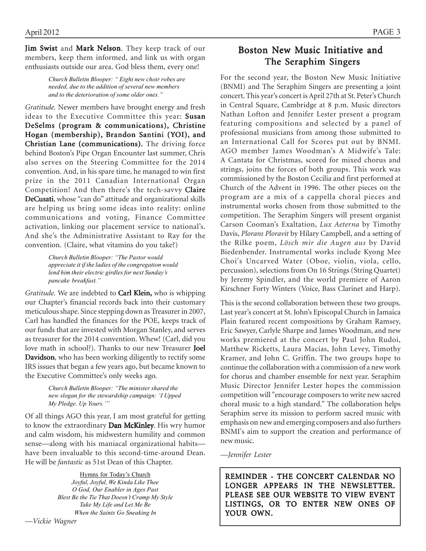Jim Swist and Mark Nelson. They keep track of our members, keep them informed, and link us with organ enthusiasts outside our area. God bless them, every one!

> *Church Bulletin Blooper: " Eight new choir robes are needed, due to the addition of several new members and to the deterioration of some older ones."*

*Gratitude.* Newer members have brought energy and fresh ideas to the Executive Committee this year: Susan DeSelms (program & communications), Christine Hogan (membership), Brandon Santini (YOI), and Christian Lane (communications). The driving force behind Boston's Pipe Organ Encounter last summer, Chris also serves on the Steering Committee for the 2014 convention. And, in his spare time, he managed to win first prize in the 2011 Canadian International Organ Competition! And then there's the tech-savvy Claire DeCusati, whose "can do" attitude and organizational skills are helping us bring some ideas into reality: online communications and voting, Finance Committee activation, linking our placement service to national's. And she's the Administrative Assistant to Ray for the convention. (Claire, what vitamins do you take?)

> *Church Bulletin Blooper: "The Pastor would appreciate it if the ladies of the congregation would lend him their electric girdles for next Sunday's pancake breakfast."*

*Gratitude*. We are indebted to **Carl Klein**, who is whipping our Chapter's financial records back into their customary meticulous shape. Since stepping down as Treasurer in 2007, Carl has handled the finances for the POE, keeps track of our funds that are invested with Morgan Stanley, and serves as treasurer for the 2014 convention. Whew! (Carl, did you love math in school?). Thanks to our new Treasurer Joel Davidson, who has been working diligently to rectify some IRS issues that began a few years ago, but became known to the Executive Committee's only weeks ago.

> *Church Bulletin Blooper: "The minister shared the new slogan for the stewardship campaign: 'I Upped My Pledge. Up Yours.'"*

Of all things AGO this year, I am most grateful for getting to know the extraordinary Dan McKinley. His wry humor and calm wisdom, his midwestern humility and common sense—along with his maniacal organizational habits have been invaluable to this second-time-around Dean. He will be *fantastic* as 51st Dean of this Chapter.

> Hymns for Today's Church *Joyful, Joyful, We Kinda Like Thee O God, Our Enabler in Ages Past Blest Be the Tie That Doesn't Cramp My Style Take My Life and Let Me Be When the Saints Go Sneaking In*

For the second year, the Boston New Music Initiative (BNMI) and The Seraphim Singers are presenting a joint concert. This year's concert is April 27th at St. Peter's Church in Central Square, Cambridge at 8 p.m. Music directors Nathan Lofton and Jennifer Lester present a program featuring compositions and selected by a panel of professional musicians from among those submitted to an International Call for Scores put out by BNMI. AGO member James Woodman's A Midwife's Tale: A Cantata for Christmas, scored for mixed chorus and strings, joins the forces of both groups. This work was commissioned by the Boston Cecilia and first performed at Church of the Advent in 1996. The other pieces on the program are a mix of a cappella choral pieces and instrumental works chosen from those submitted to the competition. The Seraphim Singers will present organist Carson Cooman's Exaltation, *Lux Aeterna* by Timothy Davis, *Plorans Ploravit* by Hilary Campbell, and a setting of the Rilke poem, *Lösch mir die Augen aus* by David Biedenbender. Instrumental works include Kyong Mee Choi's Uncarved Water (Oboe, violin, viola, cello, percussion), selections from On 16 Strings (String Quartet) by Jeremy Spindler, and the world premiere of Aaron Kirschner Forty Winters (Voice, Bass Clarinet and Harp).

This is the second collaboration between these two groups. Last year's concert at St. John's Episcopal Church in Jamaica Plain featured recent compositions by Graham Ramsey, Eric Sawyer, Carlyle Sharpe and James Woodman, and new works premiered at the concert by Paul John Rudoi, Matthew Ricketts, Laura Macias, John Levey, Timothy Kramer, and John C. Griffin. The two groups hope to continue the collaboration with a commission of a new work for chorus and chamber ensemble for next year. Seraphim Music Director Jennifer Lester hopes the commission competition will "encourage composers to write new sacred choral music to a high standard." The collaboration helps Seraphim serve its mission to perform sacred music with emphasis on new and emerging composers and also furthers BNMI's aim to support the creation and performance of new music.

*—Jennifer Lester*

REMINDER - THE CONCERT CALENDAR NO LONGER APPEARS IN THE NEWSLETTER. PLEASE SEE OUR WEBSITE TO VIEW EVENT LISTINGS, OR TO ENTER NEW ONES OF YOUR OWN.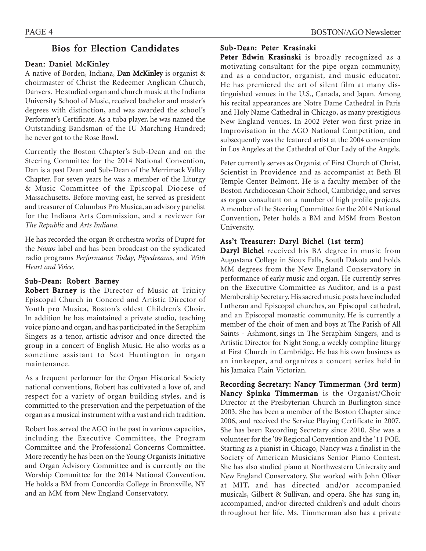### Bios for Election Candidates

#### Dean: Daniel McKinley

A native of Borden, Indiana, Dan McKinley is organist  $\&$ choirmaster of Christ the Redeemer Anglican Church, Danvers. He studied organ and church music at the Indiana University School of Music, received bachelor and master's degrees with distinction, and was awarded the school's Performer's Certificate. As a tuba player, he was named the Outstanding Bandsman of the IU Marching Hundred; he never got to the Rose Bowl.

Currently the Boston Chapter's Sub-Dean and on the Steering Committee for the 2014 National Convention, Dan is a past Dean and Sub-Dean of the Merrimack Valley Chapter. For seven years he was a member of the Liturgy & Music Committee of the Episcopal Diocese of Massachusetts. Before moving east, he served as president and treasurer of Columbus Pro Musica, an advisory panelist for the Indiana Arts Commission, and a reviewer for *The Republic* and *Arts Indiana*.

He has recorded the organ & orchestra works of Dupré for the *Naxos* label and has been broadcast on the syndicated radio programs *Performance Today*, *Pipedreams*, and *With Heart and Voice*.

#### Sub-Dean: Robert Barney

Robert Barney is the Director of Music at Trinity Episcopal Church in Concord and Artistic Director of Youth pro Musica, Boston's oldest Children's Choir. In addition he has maintained a private studio, teaching voice piano and organ, and has participated in the Seraphim Singers as a tenor, artistic advisor and once directed the group in a concert of English Music. He also works as a sometime assistant to Scot Huntington in organ maintenance.

As a frequent performer for the Organ Historical Society national conventions, Robert has cultivated a love of, and respect for a variety of organ building styles, and is committed to the preservation and the perpetuation of the organ as a musical instrument with a vast and rich tradition.

Robert has served the AGO in the past in various capacities, including the Executive Committee, the Program Committee and the Professional Concerns Committee. More recently he has been on the Young Organists Initiative and Organ Advisory Committee and is currently on the Worship Committee for the 2014 National Convention. He holds a BM from Concordia College in Bronxville, NY and an MM from New England Conservatory.

#### Sub-Dean: Peter Krasinski

Peter Edwin Krasinski is broadly recognized as a motivating consultant for the pipe organ community, and as a conductor, organist, and music educator. He has premiered the art of silent film at many distinguished venues in the U.S., Canada, and Japan. Among his recital appearances are Notre Dame Cathedral in Paris and Holy Name Cathedral in Chicago, as many prestigious New England venues. In 2002 Peter won first prize in Improvisation in the AGO National Competition, and subsequently was the featured artist at the 2004 convention in Los Angeles at the Cathedral of Our Lady of the Angels.

Peter currently serves as Organist of First Church of Christ, Scientist in Providence and as accompanist at Beth El Temple Center Belmont. He is a faculty member of the Boston Archdiocesan Choir School, Cambridge, and serves as organ consultant on a number of high profile projects. A member of the Steering Committee for the 2014 National Convention, Peter holds a BM and MSM from Boston University.

### Ass't Treasurer: Daryl Bichel (1st term)

Daryl Bichel received his BA degree in music from Augustana College in Sioux Falls, South Dakota and holds MM degrees from the New England Conservatory in performance of early music and organ. He currently serves on the Executive Committee as Auditor, and is a past Membership Secretary. His sacred music posts have included Lutheran and Episcopal churches, an Episcopal cathedral, and an Episcopal monastic community. He is currently a member of the choir of men and boys at The Parish of All Saints - Ashmont, sings in The Seraphim Singers, and is Artistic Director for Night Song, a weekly compline liturgy at First Church in Cambridge. He has his own business as an innkeeper, and organizes a concert series held in his Jamaica Plain Victorian.

Recording Secretary: Nancy Timmerman (3rd term) Nancy Spinka Timmerman is the Organist/Choir Director at the Presbyterian Church in Burlington since 2003. She has been a member of the Boston Chapter since 2006, and received the Service Playing Certificate in 2007. She has been Recording Secretary since 2010. She was a volunteer for the '09 Regional Convention and the '11 POE. Starting as a pianist in Chicago, Nancy was a finalist in the Society of American Musicians Senior Piano Contest. She has also studied piano at Northwestern University and New England Conservatory. She worked with John Oliver at MIT, and has directed and/or accompanied musicals, Gilbert & Sullivan, and opera. She has sung in, accompanied, and/or directed children's and adult choirs throughout her life. Ms. Timmerman also has a private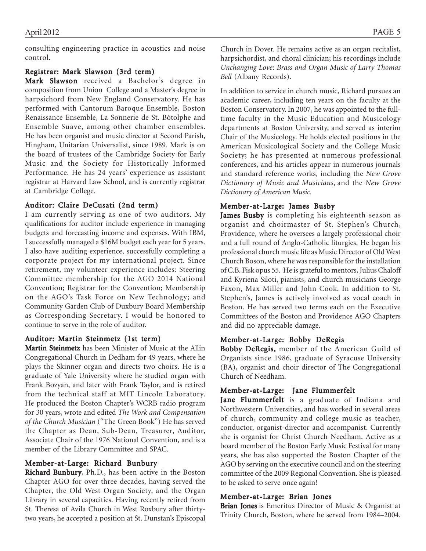consulting engineering practice in acoustics and noise control.

### Registrar: Mark Slawson (3rd term)

Mark Slawson received a Bachelor's degree in composition from Union College and a Master's degree in harpsichord from New England Conservatory. He has performed with Cantorum Baroque Ensemble, Boston Renaissance Ensemble, La Sonnerie de St. Bôtolphe and Ensemble Suave, among other chamber ensembles. He has been organist and music director at Second Parish, Hingham, Unitarian Universalist, since 1989. Mark is on the board of trustees of the Cambridge Society for Early Music and the Society for Historically Informed Performance. He has 24 years' experience as assistant registrar at Harvard Law School, and is currently registrar at Cambridge College.

#### Auditor: Claire DeCusati (2nd term)

I am currently serving as one of two auditors. My qualifications for auditor include experience in managing budgets and forecasting income and expenses. With IBM, I successfully managed a \$16M budget each year for 5 years. I also have auditing experience, successfully completing a corporate project for my international project. Since retirement, my volunteer experience includes: Steering Committee membership for the AGO 2014 National Convention; Registrar for the Convention; Membership on the AGO's Task Force on New Technology; and Community Garden Club of Duxbury Board Membership as Corresponding Secretary. I would be honored to continue to serve in the role of auditor.

#### Auditor: Martin Steinmetz (1st term)

Martin Steinmetz has been Minister of Music at the Allin Congregational Church in Dedham for 49 years, where he plays the Skinner organ and directs two choirs. He is a graduate of Yale University where he studied organ with Frank Bozyan, and later with Frank Taylor, and is retired from the technical staff at MIT Lincoln Laboratory. He produced the Boston Chapter's WCRB radio program for 30 years, wrote and edited *The Work and Compensation of the Church Musician* ("The Green Book") He has served the Chapter as Dean, Sub-Dean, Treasurer, Auditor, Associate Chair of the 1976 National Convention, and is a member of the Library Committee and SPAC.

#### Member-at-Large: Richard Bunbury

Richard Bunbury, Ph.D., has been active in the Boston Chapter AGO for over three decades, having served the Chapter, the Old West Organ Society, and the Organ Library in several capacities. Having recently retired from St. Theresa of Avila Church in West Roxbury after thirtytwo years, he accepted a position at St. Dunstan's Episcopal Church in Dover. He remains active as an organ recitalist, harpsichordist, and choral clinician; his recordings include *Unchanging Love*: *Brass and Organ Music of Larry Thomas Bell* (Albany Records).

In addition to service in church music, Richard pursues an academic career, including ten years on the faculty at the Boston Conservatory. In 2007, he was appointed to the fulltime faculty in the Music Education and Musicology departments at Boston University, and served as interim Chair of the Musicology. He holds elected positions in the American Musicological Society and the College Music Society; he has presented at numerous professional conferences, and his articles appear in numerous journals and standard reference works, including the *New Grove Dictionary of Music and Musicians*, and the *New Grove Dictionary of American Music.*

#### Member-at-Large: James Busby

James Busby is completing his eighteenth season as organist and choirmaster of St. Stephen's Church, Providence, where he oversees a largely professional choir and a full round of Anglo-Catholic liturgies. He began his professional church music life as Music Director of Old West Church Boson, where he was responsible for the installation of C.B. Fisk opus 55. He is grateful to mentors, Julius Chaloff and Kyriena Siloti, pianists, and church musicians George Faxon, Max Miller and John Cook. In addition to St. Stephen's, James is actively involved as vocal coach in Boston. He has served two terms each on the Executive Committees of the Boston and Providence AGO Chapters and did no appreciable damage.

#### Member-at-Large: Bobby DeRegis

Bobby DeRegis, member of the American Guild of Organists since 1986, graduate of Syracuse University (BA), organist and choir director of The Congregational Church of Needham.

### Member-at-Large: Jane Flummerfelt

Jane Flummerfelt is a graduate of Indiana and Northwestern Universities, and has worked in several areas of church, community and college music as teacher, conductor, organist-director and accompanist. Currently she is organist for Christ Church Needham. Active as a board member of the Boston Early Music Festival for many years, she has also supported the Boston Chapter of the AGO by serving on the executive council and on the steering committee of the 2009 Regional Convention. She is pleased to be asked to serve once again!

#### Member-at-Large: Brian Jones

Brian Jones is Emeritus Director of Music & Organist at Trinity Church, Boston, where he served from 1984–2004.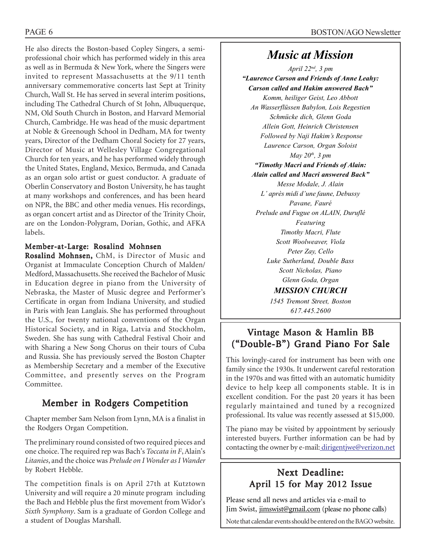He also directs the Boston-based Copley Singers, a semiprofessional choir which has performed widely in this area as well as in Bermuda & New York, where the Singers were invited to represent Massachusetts at the 9/11 tenth anniversary commemorative concerts last Sept at Trinity Church, Wall St. He has served in several interim positions, including The Cathedral Church of St John, Albuquerque, NM, Old South Church in Boston, and Harvard Memorial Church, Cambridge. He was head of the music department at Noble & Greenough School in Dedham, MA for twenty years, Director of the Dedham Choral Society for 27 years, Director of Music at Wellesley Village Congregational Church for ten years, and he has performed widely through the United States, England, Mexico, Bermuda, and Canada as an organ solo artist or guest conductor. A graduate of Oberlin Conservatory and Boston University, he has taught at many workshops and conferences, and has been heard on NPR, the BBC and other media venues. His recordings, as organ concert artist and as Director of the Trinity Choir, are on the London-Polygram, Dorian, Gothic, and AFKA labels.

### Member-at-Large: Rosalind Mohnsen

Rosalind Mohnsen, ChM, is Director of Music and Organist at Immaculate Conception Church of Malden/ Medford, Massachusetts. She received the Bachelor of Music in Education degree in piano from the University of Nebraska, the Master of Music degree and Performer's Certificate in organ from Indiana University, and studied in Paris with Jean Langlais. She has performed throughout the U.S., for twenty national conventions of the Organ Historical Society, and in Riga, Latvia and Stockholm, Sweden. She has sung with Cathedral Festival Choir and with Sharing a New Song Chorus on their tours of Cuba and Russia. She has previously served the Boston Chapter as Membership Secretary and a member of the Executive Committee, and presently serves on the Program Committee.

# Member in Rodgers Competition

Chapter member Sam Nelson from Lynn, MA is a finalist in the Rodgers Organ Competition.

The preliminary round consisted of two required pieces and one choice. The required rep was Bach's *Toccata in F*, Alain's *Litanies*, and the choice was *Prelude on I Wonder as I Wander* by Robert Hebble.

The competition finals is on April 27th at Kutztown University and will require a 20 minute program including the Bach and Hebble plus the first movement from Widor's *Sixth Symphony*. Sam is a graduate of Gordon College and a student of Douglas Marshall.

# *Music at Mission*

*April 22nd, 3 pm "Laurence Carson and Friends of Anne Leahy: Carson called and Hakim answered Bach" Komm, heiliger Geist, Leo Abbott An Wasserflüssen Babylon, Lois Regestien Schmücke dich, Glenn Goda Allein Gott, Heinrich Christensen Followed by Naji Hakim's Response Laurence Carson, Organ Soloist May 20th, 3 pm "Timothy Macri and Friends of Alain: Alain called and Macri answered Back" Messe Modale, J. Alain L' après midi d'une faune, Debussy Pavane, Fauré Prelude and Fugue on ALAIN, Duruflé Featuring Timothy Macri, Flute Scott Woolweaver, Viola Peter Zay, Cello Luke Sutherland, Double Bass Scott Nicholas, Piano Glenn Goda, Organ MISSION CHURCH*

*1545 Tremont Street, Boston 617.445.2600*

# Vintage Mason & Hamlin BB ("Double-B") Grand Piano For Sale

This lovingly-cared for instrument has been with one family since the 1930s. It underwent careful restoration in the 1970s and was fitted with an automatic humidity device to help keep all components stable. It is in excellent condition. For the past 20 years it has been regularly maintained and tuned by a recognized professional. Its value was recently assessed at \$15,000.

The piano may be visited by appointment by seriously interested buyers. Further information can be had by contacting the owner by e-mail: dirigentjwe@verizon.net

# Next Deadline: April 15 for May 2012 Issue

Please send all news and articles via e-mail to Jim Swist, jimswist@gmail.com (please no phone calls)

Note that calendar events should be entered on the BAGO website.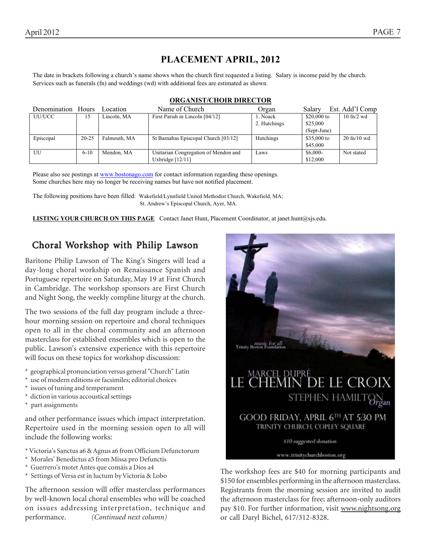# **PLACEMENT APRIL, 2012**

The date in brackets following a church's name shows when the church first requested a listing. Salary is income paid by the church. Services such as funerals (fn) and weddings (wd) with additional fees are estimated as shown.

| Denomination | <b>Hours</b> | Location     | Name of Church                       | Organ        | Salary       | Est. Add'l Comp                 |
|--------------|--------------|--------------|--------------------------------------|--------------|--------------|---------------------------------|
| UU/UCC       | 15           | Lincoln, MA  | First Parish in Lincoln [04/12]      | l. Noack     | $$20,000$ to | $10 \text{ ft}$ /2 wd           |
|              |              |              |                                      | 2. Hutchings | \$25,000     |                                 |
|              |              |              |                                      |              | (Sept-June)  |                                 |
| Episcopal    | $20 - 25$    | Falmouth, MA | St Barnabas Episcopal Church [03/12] | Hutchings    | \$35,000 to  | $20 \text{ ft} / 10 \text{ wd}$ |
|              |              |              |                                      |              | \$45,000     |                                 |
| UU           | $6 - 10$     | Mendon, MA   | Unitarian Congregation of Mendon and | Laws         | $$6,000-$    | Not stated                      |
|              |              |              | Uxbridge $[12/11]$                   |              | \$12,000     |                                 |

#### **ORGANIST/CHOIR DIRECTOR**

Please also see postings at www.bostonago.com for contact information regarding these openings. Some churches here may no longer be receiving names but have not notified placement.

The following positions have been filled: Wakefield/Lynnfield United Methodist Church, Wakefield, MA; St. Andrew's Episcopal Church, Ayer, MA.

LISTING YOUR CHURCH ON THIS PAGE Contact Janet Hunt, Placement Coordinator, at janet.hunt@sjs.edu.

## Choral Workshop with Philip Lawson

Baritone Philip Lawson of The King's Singers will lead a day-long choral workship on Renaissance Spanish and Portuguese repertoire on Saturday, May 19 at First Church in Cambridge. The workshop sponsors are First Church and Night Song, the weekly compline liturgy at the church.

The two sessions of the full day program include a threehour morning session on repertoire and choral techniques open to all in the choral community and an afternoon masterclass for established ensembles which is open to the public. Lawson's extensive experience with this repertoire will focus on these topics for workshop discussion:

- \* geographical pronunciation versus general "Church" Latin
- \* use of modern editions or facsimiles; editorial choices
- \* issues of tuning and temperament
- \* diction in various accoustical settings
- \* part assignments

and other performance issues which impact interpretation. Repertoire used in the morning session open to all will include the following works:

- \* Victoria's Sanctus a6 & Agnus a6 from Officium Defunctorum
- \* Morales' Benedictus a5 from Missa pro Defunctis
- \* Guerrero's motet Antes que comáis a Dios a4
- \* Settings of Versa est in luctum by Victoria & Lobo

The afternoon session will offer masterclass performances by well-known local choral ensembles who will be coached on issues addressing interpretation, technique and performance. *(Continued next column)*



The workshop fees are \$40 for morning participants and \$150 for ensembles performing in the afternoon masterclass. Registrants from the morning session are invited to audit the afternoon masterclass for free; afternoon-only auditors pay \$10. For further information, visit www.nightsong.org or call Daryl Bichel, 617/312-8328.